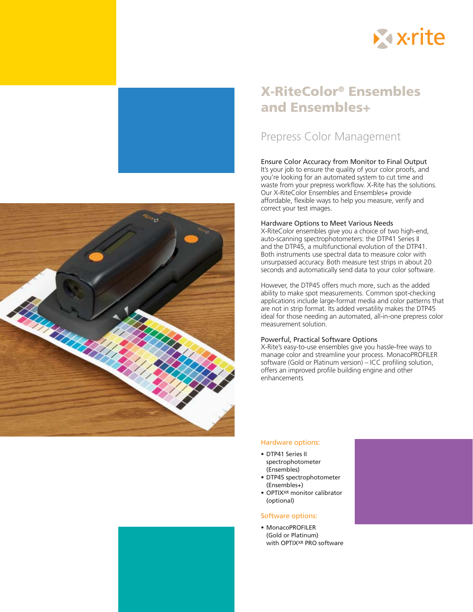





# Prepress Color Management

## Ensure Color Accuracy from Monitor to Final Output

It's your job to ensure the quality of your color proofs, and you're looking for an automated system to cut time and waste from your prepress workflow. X-Rite has the solutions. Our X-RiteColor Ensembles and Ensembles+ provide affordable, flexible ways to help you measure, verify and correct your test images.

#### Hardware Options to Meet Various Needs

X-RiteColor ensembles give you a choice of two high-end, auto-scanning spectrophotometers: the DTP41 Series II and the DTP45, a multifunctional evolution of the DTP41. Both instruments use spectral data to measure color with unsurpassed accuracy. Both measure test strips in about 20 seconds and automatically send data to your color software.

However, the DTP45 offers much more, such as the added ability to make spot measurements. Common spot-checking applications include large-format media and color patterns that are not in strip format. Its added versatility makes the DTP45 ideal for those needing an automated, all-in-one prepress color measurement solution.

### Powerful, Practical Software Options

X-Rite's easy-to-use ensembles give you hassle-free ways to manage color and streamline your process. MonacoPROFILER software (Gold or Platinum version) – ICC profiling solution, offers an improved profile building engine and other enhancements

### Hardware options:

- DTP41 Series II spectrophotometer (Ensembles)
- DTP45 spectrophotometer (Ensembles+)
- OPTIX<sup>XR</sup> monitor calibrator (optional)

#### Software options:

• MonacoPROFILER (Gold or Platinum) with OPTIX<sup>XR</sup> PRO software